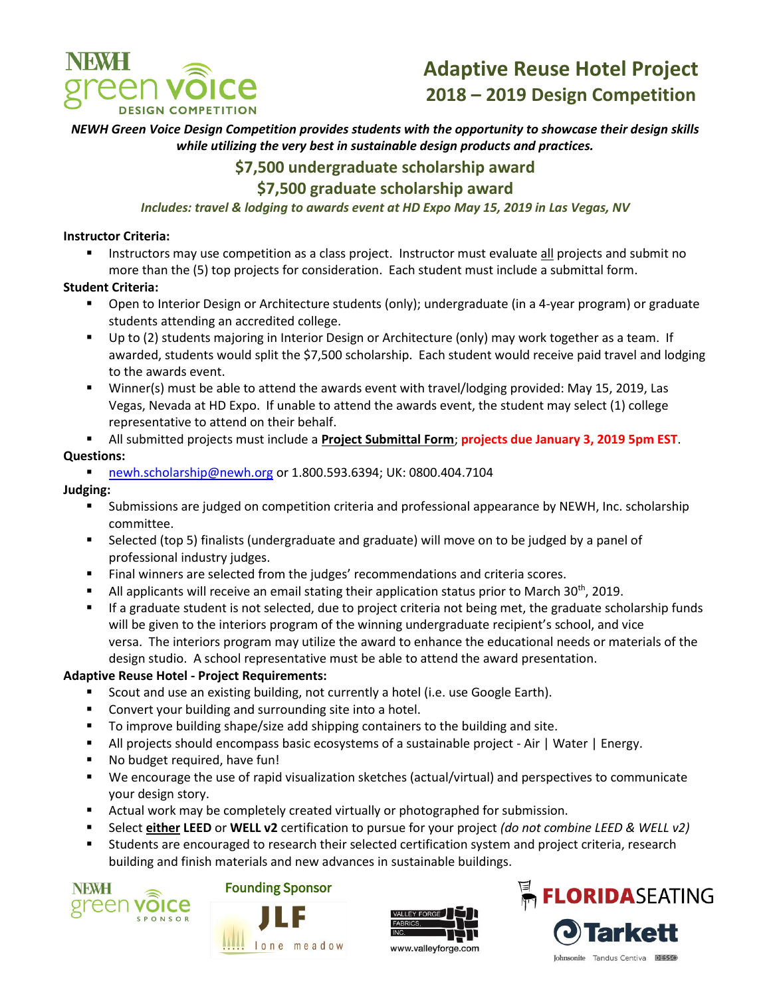

### *NEWH Green Voice Design Competition provides students with the opportunity to showcase their design skills while utilizing the very best in sustainable design products and practices.*

## **\$7,500 undergraduate scholarship award**

## **\$7,500 graduate scholarship award**

#### *Includes: travel & lodging to awards event at HD Expo May 15, 2019 in Las Vegas, NV*

#### **Instructor Criteria:**

**Instructors may use competition as a class project. Instructor must evaluate all projects and submit no** more than the (5) top projects for consideration. Each student must include a submittal form.

#### **Student Criteria:**

- Open to Interior Design or Architecture students (only); undergraduate (in a 4-year program) or graduate students attending an accredited college.
- Up to (2) students majoring in Interior Design or Architecture (only) may work together as a team. If awarded, students would split the \$7,500 scholarship. Each student would receive paid travel and lodging to the awards event.
- Winner(s) must be able to attend the awards event with travel/lodging provided: May 15, 2019, Las Vegas, Nevada at HD Expo. If unable to attend the awards event, the student may select (1) college representative to attend on their behalf.
- All submitted projects must include a **Project Submittal Form**; **projects due January 3, 2019 5pm EST**. **Questions:**
	- [newh.scholarship@newh.org](mailto:newh.scholarship@newh.org) or 1.800.593.6394; UK: 0800.404.7104

#### **Judging:**

- Submissions are judged on competition criteria and professional appearance by NEWH, Inc. scholarship committee.
- Selected (top 5) finalists (undergraduate and graduate) will move on to be judged by a panel of professional industry judges.
- Final winners are selected from the judges' recommendations and criteria scores.
- All applicants will receive an email stating their application status prior to March 30<sup>th</sup>, 2019.
- If a graduate student is not selected, due to project criteria not being met, the graduate scholarship funds will be given to the interiors program of the winning undergraduate recipient's school, and vice versa. The interiors program may utilize the award to enhance the educational needs or materials of the design studio. A school representative must be able to attend the award presentation.

#### **Adaptive Reuse Hotel - Project Requirements:**

- Scout and use an existing building, not currently a hotel (i.e. use Google Earth).
- **EXECONCERT** Convert your building and surrounding site into a hotel.
- To improve building shape/size add shipping containers to the building and site.
- All projects should encompass basic ecosystems of a sustainable project Air | Water | Energy.
- No budget required, have fun!
- We encourage the use of rapid visualization sketches (actual/virtual) and perspectives to communicate your design story.
- Actual work may be completely created virtually or photographed for submission.

meadow

- Select **either LEED** or **WELL v2** certification to pursue for your project *(do not combine LEED & WELL v2)*
- Students are encouraged to research their selected certification system and project criteria, research building and finish materials and new advances in sustainable buildings.





 $lone$ 



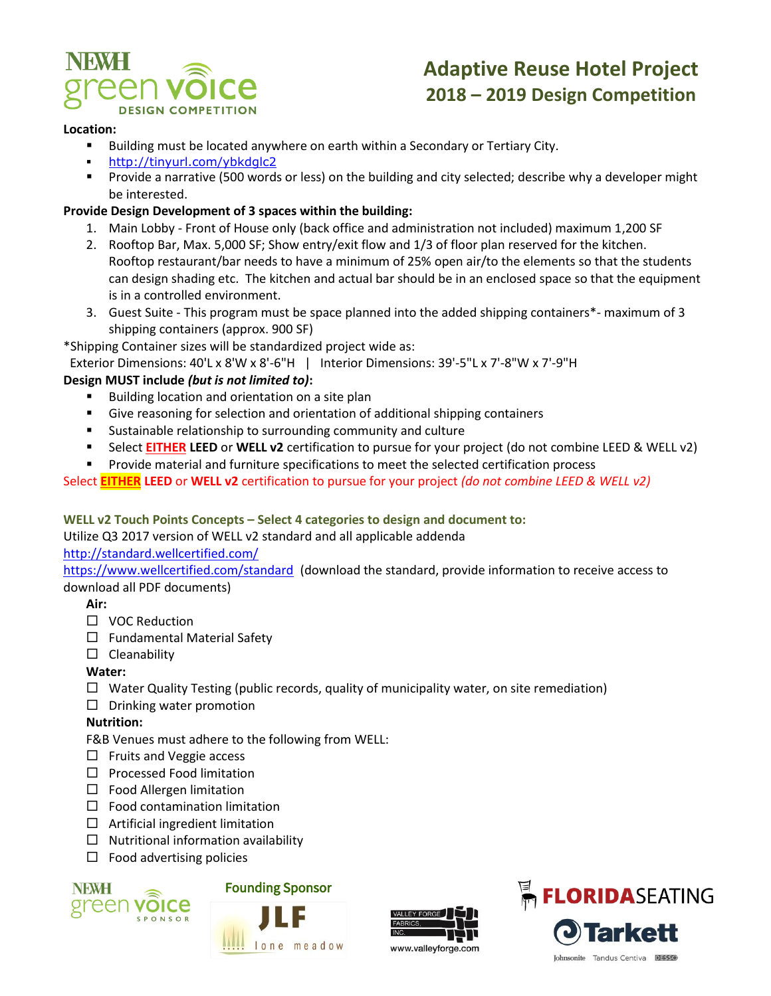

#### **Location:**

- Building must be located anywhere on earth within a Secondary or Tertiary City.
- <http://tinyurl.com/ybkdglc2>
- **Provide a narrative (500 words or less) on the building and city selected; describe why a developer might** be interested.

#### **Provide Design Development of 3 spaces within the building:**

- 1. Main Lobby Front of House only (back office and administration not included) maximum 1,200 SF
- 2. Rooftop Bar, Max. 5,000 SF; Show entry/exit flow and 1/3 of floor plan reserved for the kitchen. Rooftop restaurant/bar needs to have a minimum of 25% open air/to the elements so that the students can design shading etc. The kitchen and actual bar should be in an enclosed space so that the equipment is in a controlled environment.
- 3. Guest Suite This program must be space planned into the added shipping containers\*- maximum of 3 shipping containers (approx. 900 SF)

\*Shipping Container sizes will be standardized project wide as:

Exterior Dimensions: 40'L x 8'W x 8'-6"H | Interior Dimensions: 39'-5"L x 7'-8"W x 7'-9"H

#### **Design MUST include** *(but is not limited to)***:**

- Building location and orientation on a site plan
- Give reasoning for selection and orientation of additional shipping containers
- Sustainable relationship to surrounding community and culture
- Select **EITHER LEED** or **WELL v2** certification to pursue for your project (do not combine LEED & WELL v2)
- **Provide material and furniture specifications to meet the selected certification process**

Select **EITHER LEED** or **WELL v2** certification to pursue for your project *(do not combine LEED & WELL v2)*

#### **WELL v2 Touch Points Concepts – Select 4 categories to design and document to:**

#### Utilize Q3 2017 version of WELL v2 standard and all applicable addenda

<http://standard.wellcertified.com/>

<https://www.wellcertified.com/standard> (download the standard, provide information to receive access to download all PDF documents)

#### **Air:**

- □ VOC Reduction
- $\Box$  Fundamental Material Safety
- $\square$  Cleanability

#### **Water:**

- $\Box$  Water Quality Testing (public records, quality of municipality water, on site remediation)
- $\square$  Drinking water promotion

#### **Nutrition:**

- F&B Venues must adhere to the following from WELL:
- $\Box$  Fruits and Veggie access
- $\square$  Processed Food limitation
- $\Box$  Food Allergen limitation
- $\Box$  Food contamination limitation
- $\Box$  Artificial ingredient limitation
- $\Box$  Nutritional information availability
- $\Box$  Food advertising policies



### Founding Sponsor





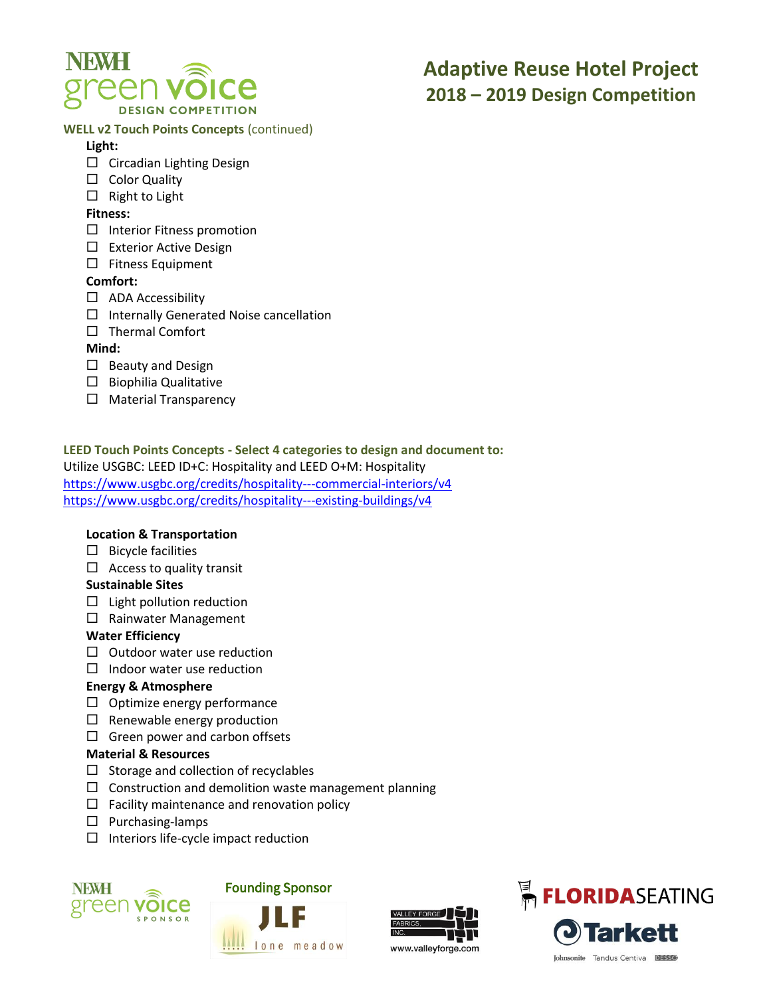

#### **WELL v2 Touch Points Concepts** (continued)

#### **Light:**

- $\Box$  Circadian Lighting Design
- $\square$  Color Quality
- $\Box$  Right to Light

#### **Fitness:**

- $\Box$  Interior Fitness promotion
- □ Exterior Active Design
- $\square$  Fitness Equipment

#### **Comfort:**

- $\Box$  ADA Accessibility
- $\Box$  Internally Generated Noise cancellation
- $\Box$  Thermal Comfort

#### **Mind:**

- $\Box$  Beauty and Design
- $\square$  Biophilia Qualitative
- $\Box$  Material Transparency

**LEED Touch Points Concepts - Select 4 categories to design and document to:** Utilize USGBC: LEED ID+C: Hospitality and LEED O+M: Hospitality <https://www.usgbc.org/credits/hospitality---commercial-interiors/v4> <https://www.usgbc.org/credits/hospitality---existing-buildings/v4>

#### **Location & Transportation**

- $\Box$  Bicycle facilities
- $\Box$  Access to quality transit

#### **Sustainable Sites**

- $\Box$  Light pollution reduction
- □ Rainwater Management

#### **Water Efficiency**

- $\Box$  Outdoor water use reduction
- $\Box$  Indoor water use reduction

#### **Energy & Atmosphere**

- $\Box$  Optimize energy performance
- $\Box$  Renewable energy production
- $\Box$  Green power and carbon offsets

#### **Material & Resources**

- $\Box$  Storage and collection of recyclables
- $\square$  Construction and demolition waste management planning
- $\Box$  Facility maintenance and renovation policy
- $\square$  Purchasing-lamps
- $\square$  Interiors life-cycle impact reduction



### Founding Sponsor